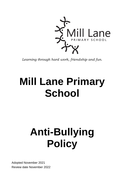

*Learning through hard work, friendship and fun.*

# **Mill Lane Primary School**

# **Anti-Bullying Policy**

Adopted November 2021 Review date November 2022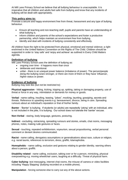At Mill Lane Primary School we believe that all bullying behaviour is unacceptable. It is imperative that all children and adults feel safe from bullying and know that any incidents of bullying will be dealt with appropriately.

#### **This policy aims to:**

Promote a secure and happy environment free from threat, harassment and any type of bullying behaviour.

- Ensure all teaching and non-teaching staff, pupils and parents have an understanding of what bullying is.
- Inform children and parents of the school's expectations and foster a productive partnership, which helps maintain an environment free from bullying.
- Identify and deal with incidents of bullying consistently and effectively.

All children have the right to be protected from physical, emotional and mental violence; a right enshrined in the United Nations Convention on the Rights of The Child. Children should be supported in order to 'stay safe' and 'enjoy and achieve' as outlined in Every Child Matters agenda.

#### **Definition of bullying**

Mill Lane Primary School uses the definition of bullying as:

- ongoing over time it happens more than once
- deliberate and intentional.
- unfair there is an unequal power balance (imbalance of power). The person/people doing the bullying is/are stronger, or there are more of them or they have 'influence', higher status or power.

#### **Evidence of bullying**

Bullying may look like (but not be restricted to):

**Physical aggression** - hitting, kicking, tripping up, spitting, taking or damaging property, use of threat or force in any way, intimidation or demands for money or goods.

. **Verbal** - name calling, insulting, teasing, "jokes", mocking, taunting, gossiping, secrets and threats. Reference to upsetting events e.g. bereavement, divorce, being in care. Spreading rumours about an individual's reputation or that of his/her family.

**Banter** - 'Banter' is bullying. If students (or adults) are repeatedly 'joking' with an individual, who is not included in the joke, it is bullying. Our school does not tolerate the 'banter' excuse.

**Non-Verbal** - staring, body language, gestures, posturing.

**Indirect** - excluding, ostracising, spreading rumours and stories, emails, chat rooms, messaging phones, notes, making rude gestures or faces.

**Sexual** - touching, repeated exhibitionism, voyeurism, sexual propositioning, verbal personal comment or deviant desires communicated.

**Racist** - name calling, derogatory assumptions or generalisations about race, culture or religion, e.g. racial taunts, references to terrorism, dress, graffiti, Islamaphobia.

**Homophobic** - name calling, exclusion and gestures relating to gender identity, warning others about a person, graffiti.

**Disability related** - name calling, exclusion, talking over or for a person, mimicking, physical overpowering e.g. moving wheelchair users, laughing at a difficulty. Threat of physical harm.

**Cyber bullying**- text messaging, internet chat rooms, the misuse of camera or video facilities including 'Happy Slapping' (bullying recorded on a mobile phone).

**Manipulation** - forcing someone else to carry out any of the above actions.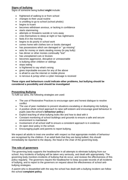# **Signs of bullying**

Signs of someone being bullied **might** include:

- frightened of walking to or from school
- changes to their usual routine
- is unwilling to go to school (school phobic)
- begins to truant
- becomes withdrawn anxious, or lacking in confidence
- starts stammering
- attempts or threatens suicide or runs away
- cries themselves to sleep at night or has nightmares
- feels ill in the morning
- begins to do poorly in school work
- comes home with clothes torn or books damaged
- has possessions which are damaged or " go missing"
- asks for money or starts stealing money (to pay bully)
- has dinner or other monies continually "lost"
- has unexplained cuts or bruises
- becomes aggressive, disruptive or unreasonable
- is bullying other children or siblings
- stops eating
- is frightened to say what's wrong
- gives improbable excuses for any of the above
- is afraid to use the internet or mobile phone
- is nervous & jumpy when a cyber message is received

#### **These signs and behaviours could indicate other problems, but bullying should be considered a possibility and should be investigated**

#### **Preventing Bullying**

To fulfil our aims, the following strategies are used:

- The use of Restorative Practices to encourage open and honest dialogue to resolve conflict
- The use of peer mediation to prevent situations escalating or developing into bullying
- A positive whole school approach to raise self-esteem and encourage good behaviour in pupils (see the school's **behaviour policy**.)
- Explicit teaching of what bullying looks like and how to deal with it
- Constant monitoring of school buildings and grounds to ensure a safe and secure environment is maintained.
- Involvement of all school staff to ensure a consistent approach is in evidence.
- An open door policy in the school.
- Encouraging pupils and parents to report bullying.

We expect all adults to treat one another with respect so that appropriate models of behaviour are recognised by the children. If an adult feels that they are being bullied, this should immediately be reported to the deputy, the head or the chair of the governing body.

#### **The role of governors**

The governing body supports the headteacher in all attempts to eliminate bullying from our school. Any incidents of bullying will be taken very seriously, and dealt with appropriately. The governing body monitors incidents of bullying that do occur, and reviews the effectiveness of this policy regularly. The governors require the headteacher to keep accurate records of all incidents of bullying, and to report to the governors on request about the effectiveness of school antibullying strategies.

A parent who is dissatisfied with the way the school has dealt with a bullying incident can follow the school **complaint policy**.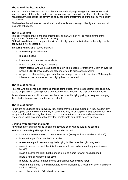# **The role of the headteacher**

It is the role of the headteacher to implement our anti-bullying strategy, and to ensure that all staff are aware of the policy, and know how to identify and deal with incidents of bullying. The headteacher will report to the governing body about the effectiveness of the anti-bullying policy on request.

The headteacher will ensure that all staff receive sufficient training to identify and deal with all incidents of bullying.

# **The role of staff**

This policy will be shared and implemented by all staff. All staff will be made aware of the implications of the school policies to bullying.

Staff will do all they can to support the victims of bullying and make it clear to the bully that this behaviour is not acceptable.

In dealing with bullying, school staff will:

- acknowledge its existence
- remain objective
- listen to all accounts of the incidents
- record all cases of bullying incidents
- inform parents who will be asked to come in to a meeting (or attend via Zoom or over the phone if COVID prevents face to face meetings) to discuss the problem
- adopt a problem-solving approach that encourages pupils to find solutions Make regular follow-up checks to ensure that bullying has not resumed.

### **The role of parents**

Parents, who are concerned that their child is being bulled, or who suspect that their child may be the perpetrator of bullying should contact their class teacher, the deputy or headteacher.

Parents have a responsibility to support the schools' anti-bullying policy, actively encouraging their child to be a positive member of the school.

#### **The role of pupils**

Pupils are encouraged to tell anybody they trust if they are being bullied or if they suspect any other pupil is being bullied. If the bullying continues they must keep on letting people know. We recognise that children may find it hard to communicate their concerns and are therefore encouraged to tell any person that they feel comfortable with; staff, parent, peer etc.

#### **Dealing with bullying incidents**

Any incidents of bullying will be taken seriously and dealt with as quickly as possible

Staff who are dealing with a pupil who has been bullied will:

- USE RESORATIVE PRACTICES APPROACH (Key questions available to all staff)
- listen to the pupil's account of the incident
- reassure the pupil that reporting the bullying incident was the right thing to do
- make it clear to the pupil that this disclosure will need to be shared to prevent future bullying
- make it clear to the pupil that he or she is not to blame for what has happened
- make a note of what the pupil says
- report to the deputy or head so that appropriate action will be taken
- explain that the pupil should report any further incidents to a teacher or other member of staff immediately
- record the incident in G2 behaviour module